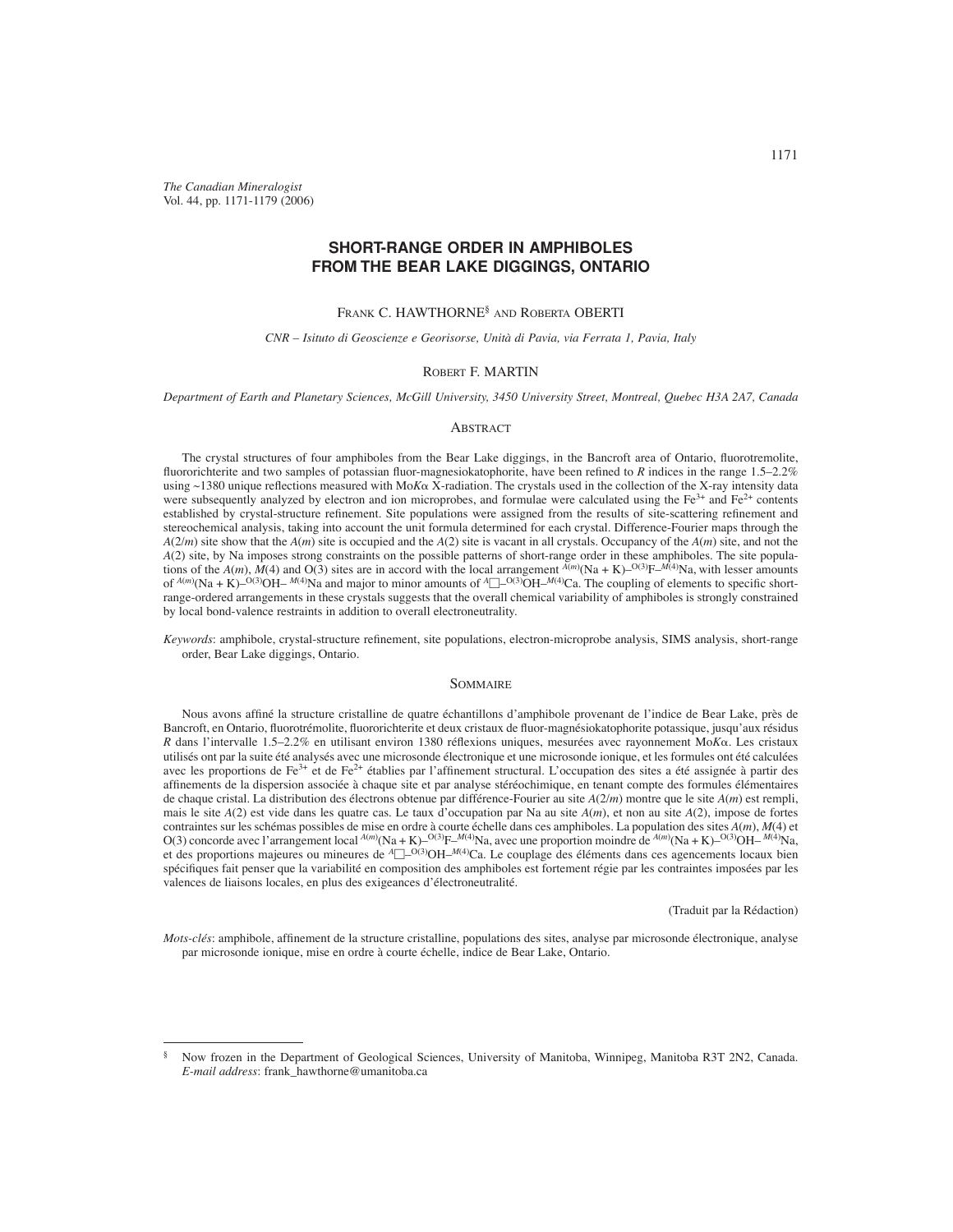*The Canadian Mineralogist* Vol. 44, pp. 1171-1179 (2006)

# **SHORT-RANGE ORDER IN AMPHIBOLES FROM THE BEAR LAKE DIGGINGS, ONTARIO**

## FRANK C. HAWTHORNE§ AND ROBERTA OBERTI

## *CNR – Isituto di Geoscienze e Georisorse, Unità di Pavia, via Ferrata 1, Pavia, Italy*

### ROBERT F. MARTIN

*Department of Earth and Planetary Sciences, McGill University, 3450 University Street, Montreal, Quebec H3A 2A7, Canada* 

## **ABSTRACT**

The crystal structures of four amphiboles from the Bear Lake diggings, in the Bancroft area of Ontario, fluorotremolite, fluororichterite and two samples of potassian fluor-magnesiokatophorite, have been refined to *R* indices in the range 1.5–2.2% using  $\sim$ 1380 unique reflections measured with Mo*K* $\alpha$  X-radiation. The crystals used in the collection of the X-ray intensity data were subsequently analyzed by electron and ion microprobes, and formulae were calculated using the  $Fe^{3+}$  and  $Fe^{2+}$  contents established by crystal-structure refinement. Site populations were assigned from the results of site-scattering refinement and stereochemical analysis, taking into account the unit formula determined for each crystal. Difference-Fourier maps through the *A*(2/*m*) site show that the *A*(*m*) site is occupied and the *A*(2) site is vacant in all crystals. Occupancy of the *A*(*m*) site, and not the *A*(2) site, by Na imposes strong constraints on the possible patterns of short-range order in these amphiboles. The site populations of the *A*(*m*), *M*(4) and O(3) sites are in accord with the local arrangement  $^{A(m)}$ (Na + K)– $^{O(3)}F$ – $^{M(4)}$ Na, with lesser amounts of  $A(m)(Na + K)$ – $O(3)OH$ – $M(4)Na$  and major to minor amounts of  $A\square$ – $O(3)OH$ – $M(4)Ca$ . The coupling of elements to specific shortrange-ordered arrangements in these crystals suggests that the overall chemical variability of amphiboles is strongly constrained by local bond-valence restraints in addition to overall electroneutrality.

*Keywords*: amphibole, crystal-structure refinement, site populations, electron-microprobe analysis, SIMS analysis, short-range order, Bear Lake diggings, Ontario.

## SOMMAIRE

Nous avons affiné la structure cristalline de quatre échantillons d'amphibole provenant de l'indice de Bear Lake, près de Bancroft, en Ontario, fluorotrémolite, fluororichterite et deux cristaux de fluor-magnésiokatophorite potassique, jusqu'aux résidus *R* dans l'intervalle 1.5–2.2% en utilisant environ 1380 réflexions uniques, mesurées avec rayonnement Mo*K* $\alpha$ . Les cristaux utilisés ont par la suite été analysés avec une microsonde électronique et une microsonde ionique, et les formules ont été calculées avec les proportions de Fe<sup>3+</sup> et de Fe<sup>2+</sup> établies par l'affinement structural. L'occupation des sites a été assignée à partir des affinements de la dispersion associée à chaque site et par analyse stéréochimique, en tenant compte des formules élémentaires de chaque cristal. La distribution des électrons obtenue par différence-Fourier au site *A*(2/*m*) montre que le site *A*(*m*) est rempli, mais le site *A*(2) est vide dans les quatre cas. Le taux d'occupation par Na au site *A*(*m*), et non au site *A*(2), impose de fortes contraintes sur les schémas possibles de mise en ordre à courte échelle dans ces amphiboles. La population des sites *A*(*m*), *M*(4) et O(3) concorde avec l'arrangement local  $^{A(m)}$ (Na + K)–O(3)F– $^{M(4)}$ Na, avec une proportion moindre de  $^{A(m)}$ (Na + K)–O(3)OH– $^{M(4)}$ Na, et des proportions majeures ou mineures de <sup>A</sup>□<sup>O(3)</sup>OH<sup>–M(4)</sup>Ca. Le couplage des éléments dans ces agencements locaux bien spécifiques fait penser que la variabilité en composition des amphiboles est fortement régie par les contraintes imposées par les valences de liaisons locales, en plus des exigeances d'électroneutralité.

#### (Traduit par la Rédaction)

*Mots-clés*: amphibole, affinement de la structure cristalline, populations des sites, analyse par microsonde électronique, analyse par microsonde ionique, mise en ordre à courte échelle, indice de Bear Lake, Ontario.

<sup>§</sup> Now frozen in the Department of Geological Sciences, University of Manitoba, Winnipeg, Manitoba R3T 2N2, Canada. *E-mail address*: frank\_hawthorne@umanitoba.ca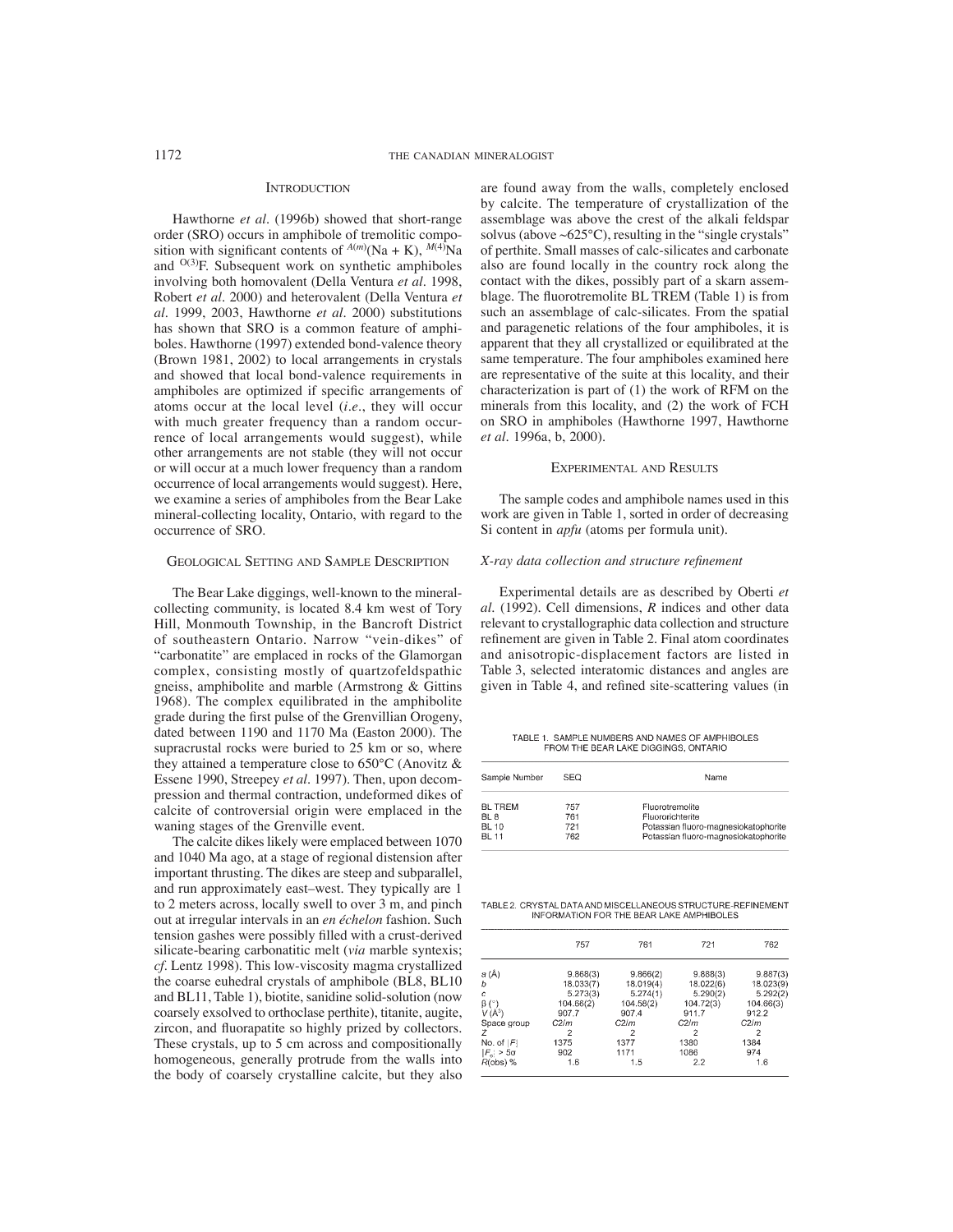#### **INTRODUCTION**

Hawthorne *et al.* (1996b) showed that short-range order (SRO) occurs in amphibole of tremolitic composition with significant contents of  $A(m)(Na + K)$ ,  $M(4)Na$ and  $O(3)F$ . Subsequent work on synthetic amphiboles involving both homovalent (Della Ventura *et al.* 1998, Robert *et al.* 2000) and heterovalent (Della Ventura *et al.* 1999, 2003, Hawthorne *et al.* 2000) substitutions has shown that SRO is a common feature of amphiboles. Hawthorne (1997) extended bond-valence theory (Brown 1981, 2002) to local arrangements in crystals and showed that local bond-valence requirements in amphiboles are optimized if specific arrangements of atoms occur at the local level (*i.e*., they will occur with much greater frequency than a random occurrence of local arrangements would suggest), while other arrangements are not stable (they will not occur or will occur at a much lower frequency than a random occurrence of local arrangements would suggest). Here, we examine a series of amphiboles from the Bear Lake mineral-collecting locality, Ontario, with regard to the occurrence of SRO.

## GEOLOGICAL SETTING AND SAMPLE DESCRIPTION

The Bear Lake diggings, well-known to the mineralcollecting community, is located 8.4 km west of Tory Hill, Monmouth Township, in the Bancroft District of southeastern Ontario. Narrow "vein-dikes" of "carbonatite" are emplaced in rocks of the Glamorgan complex, consisting mostly of quartzofeldspathic gneiss, amphibolite and marble (Armstrong & Gittins 1968). The complex equilibrated in the amphibolite grade during the first pulse of the Grenvillian Orogeny, dated between 1190 and 1170 Ma (Easton 2000). The supracrustal rocks were buried to 25 km or so, where they attained a temperature close to 650°C (Anovitz & Essene 1990, Streepey *et al.* 1997). Then, upon decompression and thermal contraction, undeformed dikes of calcite of controversial origin were emplaced in the waning stages of the Grenville event.

The calcite dikes likely were emplaced between 1070 and 1040 Ma ago, at a stage of regional distension after important thrusting. The dikes are steep and subparallel, and run approximately east–west. They typically are 1 to 2 meters across, locally swell to over 3 m, and pinch out at irregular intervals in an *en échelon* fashion. Such tension gashes were possibly filled with a crust-derived silicate-bearing carbonatitic melt (*via* marble syntexis; *cf*. Lentz 1998). This low-viscosity magma crystallized the coarse euhedral crystals of amphibole (BL8, BL10 and BL11, Table 1), biotite, sanidine solid-solution (now coarsely exsolved to orthoclase perthite), titanite, augite, zircon, and fluorapatite so highly prized by collectors. These crystals, up to 5 cm across and compositionally homogeneous, generally protrude from the walls into the body of coarsely crystalline calcite, but they also are found away from the walls, completely enclosed by calcite. The temperature of crystallization of the assemblage was above the crest of the alkali feldspar solvus (above  $\sim 625^{\circ}$ C), resulting in the "single crystals" of perthite. Small masses of calc-silicates and carbonate also are found locally in the country rock along the contact with the dikes, possibly part of a skarn assemblage. The fluorotremolite BL TREM (Table 1) is from such an assemblage of calc-silicates. From the spatial and paragenetic relations of the four amphiboles, it is apparent that they all crystallized or equilibrated at the same temperature. The four amphiboles examined here are representative of the suite at this locality, and their characterization is part of (1) the work of RFM on the minerals from this locality, and (2) the work of FCH on SRO in amphiboles (Hawthorne 1997, Hawthorne *et al.* 1996a, b, 2000).

#### EXPERIMENTAL AND RESULTS

The sample codes and amphibole names used in this work are given in Table 1, sorted in order of decreasing Si content in *apfu* (atoms per formula unit).

## *X-ray data collection and structure refi nement*

Experimental details are as described by Oberti *et al.* (1992). Cell dimensions, *R* indices and other data relevant to crystallographic data collection and structure refinement are given in Table 2. Final atom coordinates and anisotropic-displacement factors are listed in Table 3, selected interatomic distances and angles are given in Table 4, and refined site-scattering values (in

TABLE 1. SAMPLE NUMBERS AND NAMES OF AMPHIBOLES FROM THE BEAR LAKE DIGGINGS, ONTARIO

| Sample Number | SEQ. | Name                                 |
|---------------|------|--------------------------------------|
| BL TREM       | 757  | Fluorotremolite                      |
| BL 8          | 761  | Fluororichterite                     |
| BL 10         | 721  | Potassian fluoro-magnesiokatophorite |
| BL 11         | 762  | Potassian fluoro-magnesiokatophorite |

TABLE 2. CRYSTAL DATA AND MISCELLANEOUS STRUCTURE-REFINEMENT INFORMATION FOR THE BEAR LAKE AMPHIBOLES

|                          | 757       | 761       | 721       | 762       |
|--------------------------|-----------|-----------|-----------|-----------|
| a (Å)                    | 9.868(3)  | 9.866(2)  | 9.888(3)  | 9.887(3)  |
| b                        | 18.033(7) | 18.019(4) | 18.022(6) | 18.023(9) |
| c                        | 5.273(3)  | 5.274(1)  | 5.290(2)  | 5.292(2)  |
| $\beta$ (°)              | 104.66(2) | 104.58(2) | 104.72(3) | 104.66(3) |
| $V(A^3)$                 | 907.7     | 907.4     | 911.7     | 912.2     |
| Space oroup              | C2/m      | C2/m      | C2/m      | C2/m      |
| 7                        | 2         | 2         |           |           |
| No. of $ F $             | 1375      | 1377      | 1380      | 1384      |
| $ F_{\alpha}  > 5\sigma$ | 902       | 1171      | 1086      | 974       |
| $R(obs)$ %               | 1.6       | 1.5       | 2.2       | 1.6       |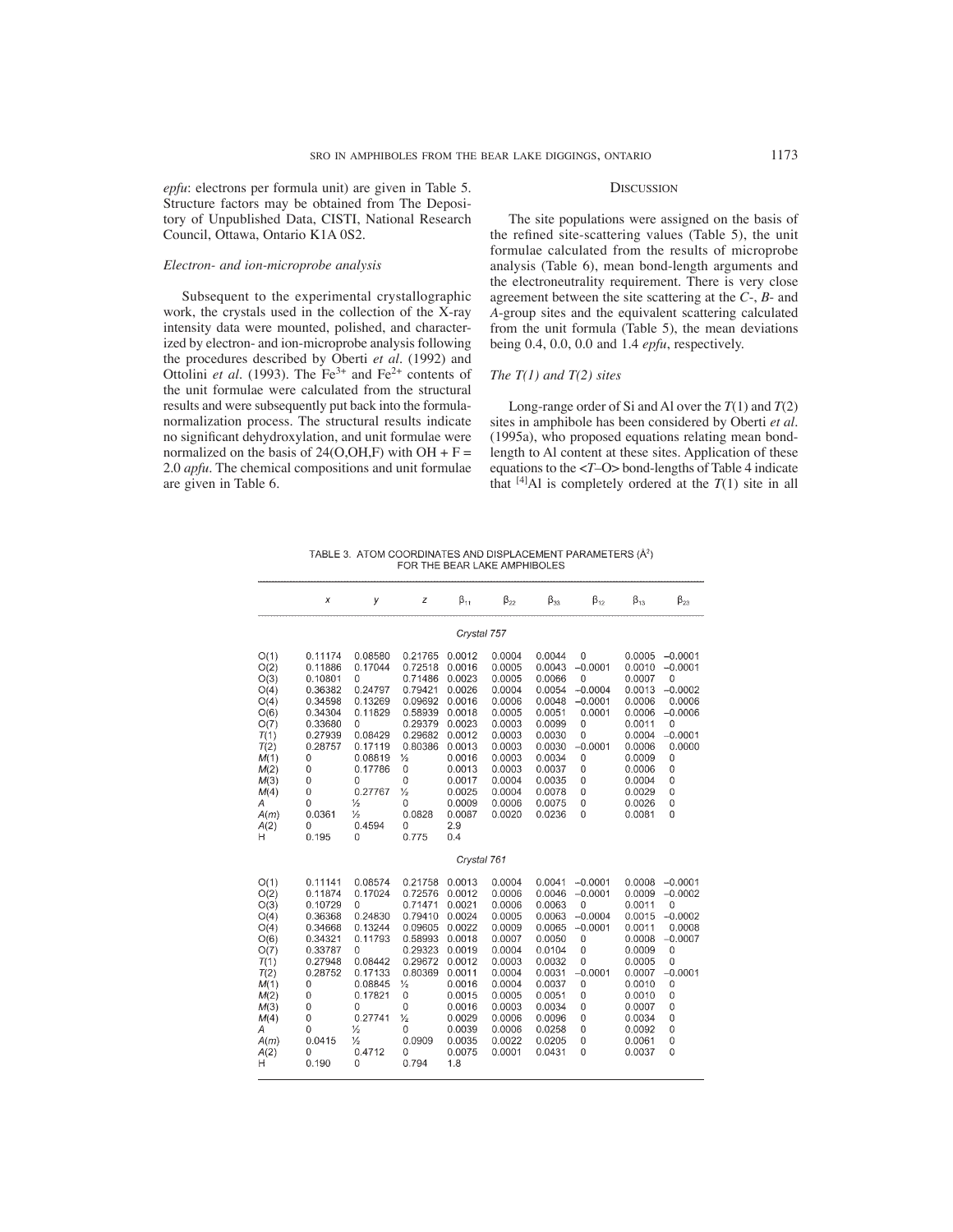*epfu*: electrons per formula unit) are given in Table 5. Structure factors may be obtained from The Depository of Unpublished Data, CISTI, National Research Council, Ottawa, Ontario K1A 0S2.

## *Electron- and ion-microprobe analysis*

Subsequent to the experimental crystallographic work, the crystals used in the collection of the X-ray intensity data were mounted, polished, and characterized by electron- and ion-microprobe analysis following the procedures described by Oberti *et al.* (1992) and Ottolini *et al.* (1993). The Fe<sup>3+</sup> and Fe<sup>2+</sup> contents of the unit formulae were calculated from the structural results and were subsequently put back into the formulanormalization process. The structural results indicate no significant dehydroxylation, and unit formulae were normalized on the basis of  $24(O,OH,F)$  with  $OH + F =$ 2.0 *apfu*. The chemical compositions and unit formulae are given in Table 6.

## **DISCUSSION**

The site populations were assigned on the basis of the refined site-scattering values (Table 5), the unit formulae calculated from the results of microprobe analysis (Table 6), mean bond-length arguments and the electroneutrality requirement. There is very close agreement between the site scattering at the *C*-, *B*- and *A*-group sites and the equivalent scattering calculated from the unit formula (Table 5), the mean deviations being 0.4, 0.0, 0.0 and 1.4 *epfu*, respectively.

## *The T(1) and T(2) sites*

Long-range order of Si and Al over the *T*(1) and *T*(2) sites in amphibole has been considered by Oberti *et al.*  (1995a), who proposed equations relating mean bondlength to Al content at these sites. Application of these equations to the <*T*–O> bond-lengths of Table 4 indicate that  $[4]$ Al is completely ordered at the  $T(1)$  site in all

TABLE 3. ATOM COORDINATES AND DISPLACEMENT PARAMETERS (Å<sup>2</sup>) FOR THE BEAR LAKE AMPHIBOLES

|                                                                                                                                | X                                                                                                                                                                                | у                                                                                                                                                                                    | z                                                                                                                                                                                                      | $\beta_{11}$                                                                                                                                                        | $\beta_{22}$                                                                                                                                                 | $\beta_{33}$                                                                                                                                                 | $\beta_{12}$                                                                                                                                                                  | $\beta_{13}$                                                                                                                                                 | $\beta_{23}$                                                                                                                                                               |
|--------------------------------------------------------------------------------------------------------------------------------|----------------------------------------------------------------------------------------------------------------------------------------------------------------------------------|--------------------------------------------------------------------------------------------------------------------------------------------------------------------------------------|--------------------------------------------------------------------------------------------------------------------------------------------------------------------------------------------------------|---------------------------------------------------------------------------------------------------------------------------------------------------------------------|--------------------------------------------------------------------------------------------------------------------------------------------------------------|--------------------------------------------------------------------------------------------------------------------------------------------------------------|-------------------------------------------------------------------------------------------------------------------------------------------------------------------------------|--------------------------------------------------------------------------------------------------------------------------------------------------------------|----------------------------------------------------------------------------------------------------------------------------------------------------------------------------|
|                                                                                                                                |                                                                                                                                                                                  |                                                                                                                                                                                      |                                                                                                                                                                                                        | Crystal 757                                                                                                                                                         |                                                                                                                                                              |                                                                                                                                                              |                                                                                                                                                                               |                                                                                                                                                              |                                                                                                                                                                            |
| O(1)<br>O(2)<br>O(3)<br>O(4)<br>O(4)<br>O(6)<br>O(7)<br>T(1)<br>T(2)<br>M(1)<br>M(2)<br>M(3)<br>M(4)<br>А<br>A(m)<br>A(2)<br>н | 0.11174<br>0.11886<br>0.10801<br>0.36382<br>0.34598<br>0.34304<br>0.33680<br>0.27939<br>0.28757<br>0<br>0<br>$\mathbf{0}$<br>$\mathbf{0}$<br>$\mathbf 0$<br>0.0361<br>0<br>0.195 | 0.08580<br>0.17044<br>0<br>0.24797<br>0.13269<br>0.11829<br>0<br>0.08429<br>0.17119<br>0.08819<br>0.17786<br>0<br>0.27767<br>$\frac{1}{2}$<br>$\frac{1}{2}$<br>0.4594<br>$\Omega$    | 0.21765<br>0.72518<br>0.71486<br>0.79421<br>0.09692<br>0.58939<br>0.29379<br>0.29682<br>0.80386<br>⅓<br>$\mathbf 0$<br>$\Omega$<br>⅓<br>0<br>0.0828<br>0<br>0.775                                      | 0.0012<br>0.0016<br>0.0023<br>0.0026<br>0.0016<br>0.0018<br>0.0023<br>0.0012<br>0.0013<br>0.0016<br>0.0013<br>0.0017<br>0.0025<br>0.0009<br>0.0087<br>2.9<br>0.4    | 0.0004<br>0.0005<br>0.0005<br>0.0004<br>0.0006<br>0.0005<br>0.0003<br>0.0003<br>0.0003<br>0.0003<br>0.0003<br>0.0004<br>0.0004<br>0.0006<br>0.0020           | 0.0044<br>0.0043<br>0.0066<br>0.0054<br>0.0048<br>0.0051<br>0.0099<br>0.0030<br>0.0030<br>0.0034<br>0.0037<br>0.0035<br>0.0078<br>0.0075<br>0.0236           | 0<br>$-0.0001$<br>$\mathbf{0}$<br>$-0.0004$<br>$-0.0001$<br>0.0001<br>$\mathbf{0}$<br>$\overline{0}$<br>$-0.0001$<br>0<br>$\mathbf 0$<br>0<br>$\mathbf 0$<br>0<br>$\mathbf 0$ | 0.0005<br>0.0010<br>0.0007<br>0.0013<br>0.0006<br>0.0006<br>0.0011<br>0.0004<br>0.0006<br>0.0009<br>0.0006<br>0.0004<br>0.0029<br>0.0026<br>0.0081           | $-0.0001$<br>$-0.0001$<br>$\mathbf 0$<br>$-0.0002$<br>0.0006<br>$-0.0006$<br>$\mathbf 0$<br>$-0.0001$<br>0.0000<br>$\overline{0}$<br>0<br>0<br>0<br>0<br>$\Omega$          |
|                                                                                                                                |                                                                                                                                                                                  |                                                                                                                                                                                      |                                                                                                                                                                                                        | Crystal 761                                                                                                                                                         |                                                                                                                                                              |                                                                                                                                                              |                                                                                                                                                                               |                                                                                                                                                              |                                                                                                                                                                            |
| O(1)<br>O(2)<br>O(3)<br>O(4)<br>O(4)<br>O(6)<br>O(7)<br>T(1)<br>T(2)<br>M(1)<br>M(2)<br>M(3)<br>M(4)<br>Α<br>A(m)<br>A(2)<br>Η | 0.11141<br>0.11874<br>0.10729<br>0.36368<br>0.34668<br>0.34321<br>0.33787<br>0.27948<br>0.28752<br>0<br>0<br>$\mathbf{0}$<br>0<br>0<br>0.0415<br>0<br>0.190                      | 0.08574<br>0.17024<br>0<br>0.24830<br>0.13244<br>0.11793<br>0<br>0.08442<br>0.17133<br>0.08845<br>0.17821<br>$\mathbf 0$<br>0.27741<br>$\frac{1}{2}$<br>$\frac{1}{2}$<br>0.4712<br>0 | 0.21758<br>0.72576<br>0.71471<br>0.79410<br>0.09605<br>0.58993<br>0.29323<br>0.29672<br>0.80369<br>$\frac{1}{2}$<br>$\mathbf 0$<br>$\mathbf 0$<br>$\frac{1}{2}$<br>$\mathbf 0$<br>0.0909<br>0<br>0.794 | 0.0013<br>0.0012<br>0.0021<br>0.0024<br>0.0022<br>0.0018<br>0.0019<br>0.0012<br>0.0011<br>0.0016<br>0.0015<br>0.0016<br>0.0029<br>0.0039<br>0.0035<br>0.0075<br>1.8 | 0.0004<br>0.0006<br>0.0006<br>0.0005<br>0.0009<br>0.0007<br>0.0004<br>0.0003<br>0.0004<br>0.0004<br>0.0005<br>0.0003<br>0.0006<br>0.0006<br>0.0022<br>0.0001 | 0.0041<br>0.0046<br>0.0063<br>0.0063<br>0.0065<br>0.0050<br>0.0104<br>0.0032<br>0.0031<br>0.0037<br>0.0051<br>0.0034<br>0.0096<br>0.0258<br>0.0205<br>0.0431 | $-0.0001$<br>$-0.0001$<br>$\theta$<br>$-0.0004$<br>$-0.0001$<br>$\mathbf 0$<br>0<br>$\mathbf 0$<br>$-0.0001$<br>0<br>$\mathbf{0}$<br>$\mathbf 0$<br>0<br>0<br>0<br>$\bf{0}$   | 0.0008<br>0.0009<br>0.0011<br>0.0015<br>0.0011<br>0.0008<br>0.0009<br>0.0005<br>0.0007<br>0.0010<br>0.0010<br>0.0007<br>0.0034<br>0.0092<br>0.0061<br>0.0037 | $-0.0001$<br>$-0.0002$<br>$\overline{0}$<br>$-0.0002$<br>0.0008<br>$-0.0007$<br>$\mathbf 0$<br>$\overline{0}$<br>$-0.0001$<br>0<br>0<br>0<br>$\overline{0}$<br>0<br>0<br>0 |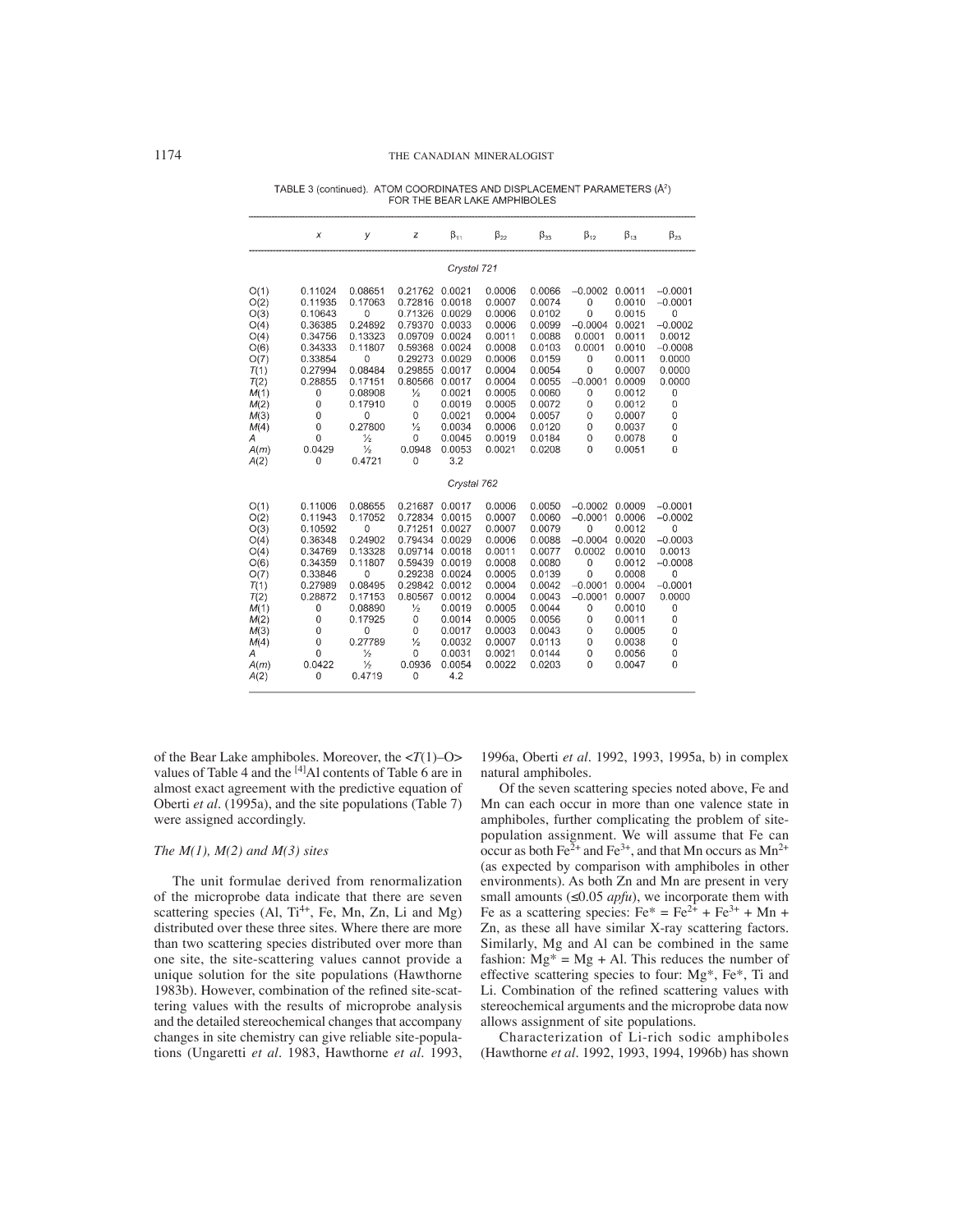|                                                                                                                           | x                                                                                                                                                                                         | У                                                                                                                                                                                  | z                                                                                                                                                                                                | $\beta_{11}$                                                                                                                                              | $\beta_{22}$                                                                                                                                       | $\beta_{33}$                                                                                                                                       | $\beta_{12}$                                                                                                                                  | $\beta_{13}$                                                                                                                                       | $\beta_{23}$                                                                                                                          |
|---------------------------------------------------------------------------------------------------------------------------|-------------------------------------------------------------------------------------------------------------------------------------------------------------------------------------------|------------------------------------------------------------------------------------------------------------------------------------------------------------------------------------|--------------------------------------------------------------------------------------------------------------------------------------------------------------------------------------------------|-----------------------------------------------------------------------------------------------------------------------------------------------------------|----------------------------------------------------------------------------------------------------------------------------------------------------|----------------------------------------------------------------------------------------------------------------------------------------------------|-----------------------------------------------------------------------------------------------------------------------------------------------|----------------------------------------------------------------------------------------------------------------------------------------------------|---------------------------------------------------------------------------------------------------------------------------------------|
|                                                                                                                           |                                                                                                                                                                                           |                                                                                                                                                                                    |                                                                                                                                                                                                  | Crystal 721                                                                                                                                               |                                                                                                                                                    |                                                                                                                                                    |                                                                                                                                               |                                                                                                                                                    |                                                                                                                                       |
| O(1)<br>O(2)<br>O(3)<br>O(4)<br>O(4)<br>O(6)<br>O(7)<br>T(1)<br>T(2)<br>M(1)<br>M(2)<br>M(3)<br>M(4)<br>Α<br>A(m)<br>A(2) | 0.11024<br>0.11935<br>0.10643<br>0.36385<br>0.34756<br>0.34333<br>0.33854<br>0.27994<br>0.28855<br>0<br>0<br>0<br>0<br>$\overline{0}$<br>0.0429<br>$\overline{0}$                         | 0.08651<br>0.17063<br>0<br>0.24892<br>0.13323<br>0.11807<br>0<br>0.08484<br>0.17151<br>0.08908<br>0.17910<br>$\Omega$<br>0.27800<br>$\frac{1}{2}$<br>$\frac{1}{2}$<br>0.4721       | 0.21762<br>0.72816<br>0.71326<br>0.79370<br>0.09709<br>0.59368<br>0.29273<br>0.29855<br>0.80566<br>$\frac{1}{2}$<br>0<br>$\mathbf 0$<br>$\frac{1}{2}$<br>$\mathbf 0$<br>0.0948<br>$\Omega$       | 0.0021<br>0.0018<br>0.0029<br>0.0033<br>0.0024<br>0.0024<br>0.0029<br>0.0017<br>0.0017<br>0.0021<br>0.0019<br>0.0021<br>0.0034<br>0.0045<br>0.0053<br>3.2 | 0.0006<br>0.0007<br>0.0006<br>0.0006<br>0.0011<br>0.0008<br>0.0006<br>0.0004<br>0.0004<br>0.0005<br>0.0005<br>0.0004<br>0.0006<br>0.0019<br>0.0021 | 0.0066<br>0.0074<br>0.0102<br>0.0099<br>0.0088<br>0.0103<br>0.0159<br>0.0054<br>0.0055<br>0.0060<br>0.0072<br>0.0057<br>0.0120<br>0.0184<br>0.0208 | $-0.0002$<br>$\mathbf 0$<br>$\mathbf 0$<br>$-0.0004$<br>0.0001<br>0.0001<br>0<br>0<br>$-0.0001$<br>$\mathbf 0$<br>0<br>0<br>0<br>0<br>0       | 0.0011<br>0.0010<br>0.0015<br>0.0021<br>0.0011<br>0.0010<br>0.0011<br>0.0007<br>0.0009<br>0.0012<br>0.0012<br>0.0007<br>0.0037<br>0.0078<br>0.0051 | $-0.0001$<br>$-0.0001$<br>0<br>$-0.0002$<br>0.0012<br>$-0.0008$<br>0.0000<br>0.0000<br>0.0000<br>0<br>0<br>0<br>$\mathbf 0$<br>0<br>0 |
|                                                                                                                           |                                                                                                                                                                                           |                                                                                                                                                                                    |                                                                                                                                                                                                  | Crystal 762                                                                                                                                               |                                                                                                                                                    |                                                                                                                                                    |                                                                                                                                               |                                                                                                                                                    |                                                                                                                                       |
| O(1)<br>O(2)<br>O(3)<br>O(4)<br>O(4)<br>O(6)<br>O(7)<br>T(1)<br>T(2)<br>M(1)<br>M(2)<br>M(3)<br>M(4)<br>Α<br>A(m)<br>A(2) | 0.11006<br>0.11943<br>0.10592<br>0.36348<br>0.34769<br>0.34359<br>0.33846<br>0.27989<br>0.28872<br>0<br>0<br>$\overline{0}$<br>$\overline{0}$<br>$\overline{0}$<br>0.0422<br>$\mathbf{0}$ | 0.08655<br>0.17052<br>0<br>0.24902<br>0.13328<br>0.11807<br>0<br>0.08495<br>0.17153<br>0.08890<br>0.17925<br>$\overline{0}$<br>0.27789<br>$\frac{1}{2}$<br>$\frac{1}{2}$<br>0.4719 | 0.21687<br>0.72834<br>0.71251<br>0.79434<br>0.09714<br>0.59439<br>0.29238<br>0.29842<br>0.80567<br>$\frac{1}{2}$<br>0<br>$\overline{0}$<br>$\frac{1}{2}$<br>$\mathbf 0$<br>0.0936<br>$\mathbf 0$ | 0.0017<br>0.0015<br>0.0027<br>0.0029<br>0.0018<br>0.0019<br>0.0024<br>0.0012<br>0.0012<br>0.0019<br>0.0014<br>0.0017<br>0.0032<br>0.0031<br>0.0054<br>4.2 | 0.0006<br>0.0007<br>0.0007<br>0.0006<br>0.0011<br>0.0008<br>0.0005<br>0.0004<br>0.0004<br>0.0005<br>0.0005<br>0.0003<br>0.0007<br>0.0021<br>0.0022 | 0.0050<br>0.0060<br>0.0079<br>0.0088<br>0.0077<br>0.0080<br>0.0139<br>0.0042<br>0.0043<br>0.0044<br>0.0056<br>0.0043<br>0.0113<br>0.0144<br>0.0203 | $-0.0002$<br>$-0.0001$<br>0<br>$-0.0004$<br>0.0002<br>$\mathbf{0}$<br>$\Omega$<br>$-0.0001$<br>$-0.0001$<br>0<br>0<br>0<br>0<br>0<br>$\Omega$ | 0.0009<br>0.0006<br>0.0012<br>0.0020<br>0.0010<br>0.0012<br>0.0008<br>0.0004<br>0.0007<br>0.0010<br>0.0011<br>0.0005<br>0.0038<br>0.0056<br>0.0047 | $-0.0001$<br>$-0.0002$<br>0<br>$-0.0003$<br>0.0013<br>$-0.0008$<br>0<br>$-0.0001$<br>0.0000<br>0<br>0<br>0<br>0<br>0<br>0             |

TABLE 3 (continued). ATOM COORDINATES AND DISPLACEMENT PARAMETERS (Å<sup>2</sup>) FOR THE BEAR LAKE AMPHIBOLES

of the Bear Lake amphiboles. Moreover, the <*T*(1)–O> values of Table 4 and the <sup>[4]</sup>Al contents of Table 6 are in almost exact agreement with the predictive equation of Oberti *et al.* (1995a), and the site populations (Table 7) were assigned accordingly.

## *The M(1), M(2) and M(3) sites*

The unit formulae derived from renormalization of the microprobe data indicate that there are seven scattering species (Al,  $Ti^{4+}$ , Fe, Mn, Zn, Li and Mg) distributed over these three sites. Where there are more than two scattering species distributed over more than one site, the site-scattering values cannot provide a unique solution for the site populations (Hawthorne 1983b). However, combination of the refined site-scattering values with the results of microprobe analysis and the detailed stereochemical changes that accompany changes in site chemistry can give reliable site-populations (Ungaretti *et al.* 1983, Hawthorne *et al.* 1993,

1996a, Oberti *et al.* 1992, 1993, 1995a, b) in complex natural amphiboles.

Of the seven scattering species noted above, Fe and Mn can each occur in more than one valence state in amphiboles, further complicating the problem of sitepopulation assignment. We will assume that Fe can occur as both Fe<sup>2+</sup> and Fe<sup>3+</sup>, and that Mn occurs as  $Mn^{2+}$ (as expected by comparison with amphiboles in other environments). As both Zn and Mn are present in very small amounts ( $\leq 0.05$  *apfu*), we incorporate them with Fe as a scattering species:  $Fe^* = Fe^{2+} + Fe^{3+} + Mn +$ Zn, as these all have similar X-ray scattering factors. Similarly, Mg and Al can be combined in the same fashion:  $Mg^* = Mg + Al$ . This reduces the number of effective scattering species to four: Mg\*, Fe\*, Ti and Li. Combination of the refined scattering values with stereochemical arguments and the microprobe data now allows assignment of site populations.

Characterization of Li-rich sodic amphiboles (Hawthorne *et al.* 1992, 1993, 1994, 1996b) has shown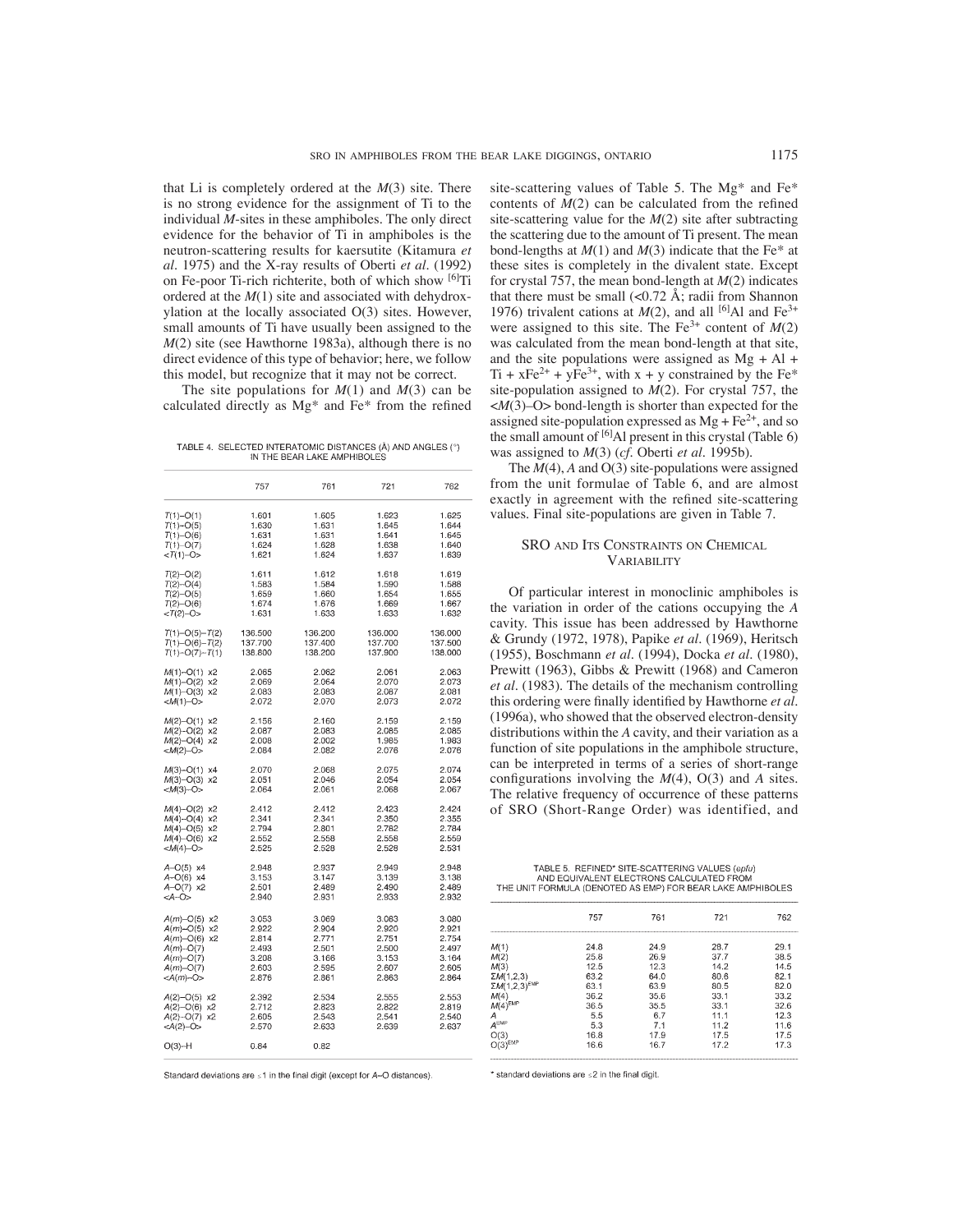that Li is completely ordered at the *M*(3) site. There is no strong evidence for the assignment of Ti to the individual *M*-sites in these amphiboles. The only direct evidence for the behavior of Ti in amphiboles is the neutron-scattering results for kaersutite (Kitamura *et al.* 1975) and the X-ray results of Oberti *et al.* (1992) on Fe-poor Ti-rich richterite, both of which show <sup>[6]</sup>Ti ordered at the *M*(1) site and associated with dehydroxylation at the locally associated O(3) sites. However, small amounts of Ti have usually been assigned to the *M*(2) site (see Hawthorne 1983a), although there is no direct evidence of this type of behavior; here, we follow this model, but recognize that it may not be correct.

The site populations for *M*(1) and *M*(3) can be calculated directly as  $Mg^*$  and  $Fe^*$  from the refined

TABLE 4. SELECTED INTERATOMIC DISTANCES (Å) AND ANGLES (°) IN THE BEAR LAKE AMPHIBOLES

|                      | 757     | 761     | 721     | 762     |
|----------------------|---------|---------|---------|---------|
| $T(1)-O(1)$          | 1.601   | 1.605   | 1.623   | 1.625   |
| $T(1)$ -O(5)         | 1.630   | 1.631   | 1.645   | 1.644   |
| $T(1)-O(6)$          | 1.631   | 1.631   | 1.641   | 1.645   |
| $T(1)$ -O(7)         | 1.624   | 1.628   | 1.638   | 1.640   |
| $<$ T(1)-O>          | 1.621   | 1.624   | 1.637   | 1.639   |
| $T(2) - O(2)$        | 1.611   | 1.612   | 1.618   | 1.619   |
| $T(2) - O(4)$        | 1.583   | 1.584   | 1.590   | 1.588   |
| $T(2) - O(5)$        | 1.659   | 1.660   | 1.654   | 1.655   |
| $T(2) - O(6)$        | 1.674   | 1.676   | 1.669   | 1.667   |
| $<$ T(2)-O>          | 1.631   | 1.633   | 1.633   | 1.632   |
| $T(1)-O(5)-T(2)$     | 136.500 | 136.200 | 136.000 | 136.000 |
| $T(1)-O(6)-T(2)$     | 137.700 | 137.400 | 137.700 | 137.500 |
| $T(1)$ -O(7)- $T(1)$ | 138,800 | 138,200 | 137,900 | 138,000 |
| $M(1)$ -O(1) x2      | 2.065   | 2.062   | 2.061   | 2.063   |
| $M(1)$ -O(2) x2      | 2.069   | 2.064   | 2.070   | 2.073   |
| $M(1)$ -O(3) x2      | 2.083   | 2.083   | 2.087   | 2.081   |
| $< M(1)-O$           | 2.072   | 2.070   | 2.073   | 2.072   |
| $M(2) - O(1)$ x2     | 2.156   | 2.160   | 2.159   | 2.159   |
| $M(2)$ -O(2) x2      | 2.087   | 2.083   | 2.085   | 2.085   |
| $M(2) - O(4)$ x2     | 2.008   | 2.002   | 1.985   | 1.983   |
| <m(2)-o></m(2)-o>    | 2.084   | 2.082   | 2.076   | 2.076   |
| $M(3) - O(1)$ x4     | 2.070   | 2.068   | 2.075   | 2.074   |
| $M(3)-O(3)$ x2       | 2.051   | 2.046   | 2.054   | 2.054   |
| $<$ M(3)-O>          | 2.064   | 2.061   | 2.068   | 2.067   |
| $M(4) - O(2)$ x2     | 2.412   | 2.412   | 2.423   | 2.424   |
| $M(4)$ -O(4) x2      | 2.341   | 2.341   | 2.350   | 2.355   |
| $M(4)$ -O(5) x2      | 2.794   | 2.801   | 2.782   | 2.784   |
| $M(4)$ -O(6) x2      | 2.552   | 2.558   | 2.558   | 2.559   |
| <m(4)-o></m(4)-o>    | 2.525   | 2.528   | 2.528   | 2.531   |
| A-O(5) x4            | 2.948   | 2.937   | 2.949   | 2.948   |
| A-O(6) x4            | 3.153   | 3.147   | 3.139   | 3.138   |
| $A-O(7)$ x2          | 2.501   | 2.489   | 2.490   | 2.489   |
| <a-0></a-0>          | 2.940   | 2.931   | 2.933   | 2.932   |
| $A(m) - O(5)$ x2     | 3.053   | 3.069   | 3.083   | 3.080   |
| $A(m) - O(5)$ x2     | 2.922   | 2.904   | 2.920   | 2.921   |
| $A(m) - O(6)$ x2     | 2.814   | 2.771   | 2.751   | 2.754   |
| $A(m)$ -O(7)         | 2.493   | 2.501   | 2.500   | 2.497   |
| A(m)-O(7)            | 3.208   | 3.166   | 3.153   | 3.164   |
| $A(m) - O(7)$        | 2.603   | 2.595   | 2.607   | 2.605   |
| <a(m)-o></a(m)-o>    | 2.876   | 2.861   | 2.863   | 2.864   |
| A(2)-O(5) x2         | 2.392   | 2.534   | 2.555   | 2.553   |
| $A(2) - O(6)$ x2     | 2.712   | 2.823   | 2.822   | 2.819   |
| $A(2) - O(7)$ x2     | 2.605   | 2.543   | 2.541   | 2.540   |
| <a(2)-o></a(2)-o>    | 2.570   | 2.633   | 2.639   | 2.637   |
| $O(3) - H$           | 0.84    | 0.82    |         |         |

Standard deviations are s1 in the final digit (except for A-O distances)

\* standard deviations are <2 in the final digit

site-scattering values of Table 5. The Mg\* and Fe\* contents of  $M(2)$  can be calculated from the refined site-scattering value for the *M*(2) site after subtracting the scattering due to the amount of Ti present. The mean bond-lengths at *M*(1) and *M*(3) indicate that the Fe\* at these sites is completely in the divalent state. Except for crystal 757, the mean bond-length at *M*(2) indicates that there must be small  $\left($ <0.72 Å; radii from Shannon 1976) trivalent cations at  $M(2)$ , and all <sup>[6]</sup>Al and Fe<sup>3+</sup> were assigned to this site. The  $Fe^{3+}$  content of  $M(2)$ was calculated from the mean bond-length at that site, and the site populations were assigned as  $Mg + Al +$  $Ti + xFe<sup>2+</sup> + yFe<sup>3+</sup>$ , with  $x + y$  constrained by the Fe\* site-population assigned to *M*(2). For crystal 757, the <*M*(3)–O> bond-length is shorter than expected for the assigned site-population expressed as  $Mg + Fe^{2+}$ , and so the small amount of  $[6]$ Al present in this crystal (Table 6) was assigned to *M*(3) (*cf.* Oberti *et al.* 1995b).

The *M*(4), *A* and O(3) site-populations were assigned from the unit formulae of Table 6, and are almost exactly in agreement with the refined site-scattering values. Final site-populations are given in Table 7.

## SRO AND ITS CONSTRAINTS ON CHEMICAL VARIABILITY

Of particular interest in monoclinic amphiboles is the variation in order of the cations occupying the *A* cavity. This issue has been addressed by Hawthorne & Grundy (1972, 1978), Papike *et al.* (1969), Heritsch (1955), Boschmann *et al.* (1994), Docka *et al.* (1980), Prewitt (1963), Gibbs & Prewitt (1968) and Cameron *et al.* (1983). The details of the mechanism controlling this ordering were finally identified by Hawthorne et al. (1996a), who showed that the observed electron-density distributions within the *A* cavity, and their variation as a function of site populations in the amphibole structure, can be interpreted in terms of a series of short-range configurations involving the  $M(4)$ , O(3) and A sites. The relative frequency of occurrence of these patterns of SRO (Short-Range Order) was identified, and

TABLE 5. REFINED\* SITE-SCATTERING VALUES (epfu) AND EQUIVALENT ELECTRONS CALCULATED FROM<br>THE UNIT FORMULA (DENOTED AS EMP) FOR BEAR LAKE AMPHIBOLES

|                         | 757  | 761  | 721  | 762  |
|-------------------------|------|------|------|------|
| M(1)                    | 24.8 | 24.9 | 28.7 | 29.1 |
| M(2)                    | 25.8 | 26.9 | 37.7 | 38.5 |
| M(3)                    | 12.5 | 12.3 | 14.2 | 14.5 |
| $\Sigma M(1,2,3)$       | 63.2 | 64.0 | 80.6 | 82.1 |
| $\Sigma M(1,2,3)^{EMP}$ | 63.1 | 63.9 | 80.5 | 82.0 |
| M(4)                    | 36.2 | 35.6 | 33.1 | 33.2 |
| $M(4)^{EMP}$            | 36.5 | 35.5 | 33.1 | 32.6 |
| Α                       | 5.5  | 6.7  | 11.1 | 12.3 |
| A <sub>EMP</sub>        | 5.3  | 7.1  | 11.2 | 11.6 |
| O(3)                    | 16.8 | 17.9 | 17.5 | 17.5 |
| $O(3)^{EMP}$            | 16.6 | 16.7 | 17.2 | 17.3 |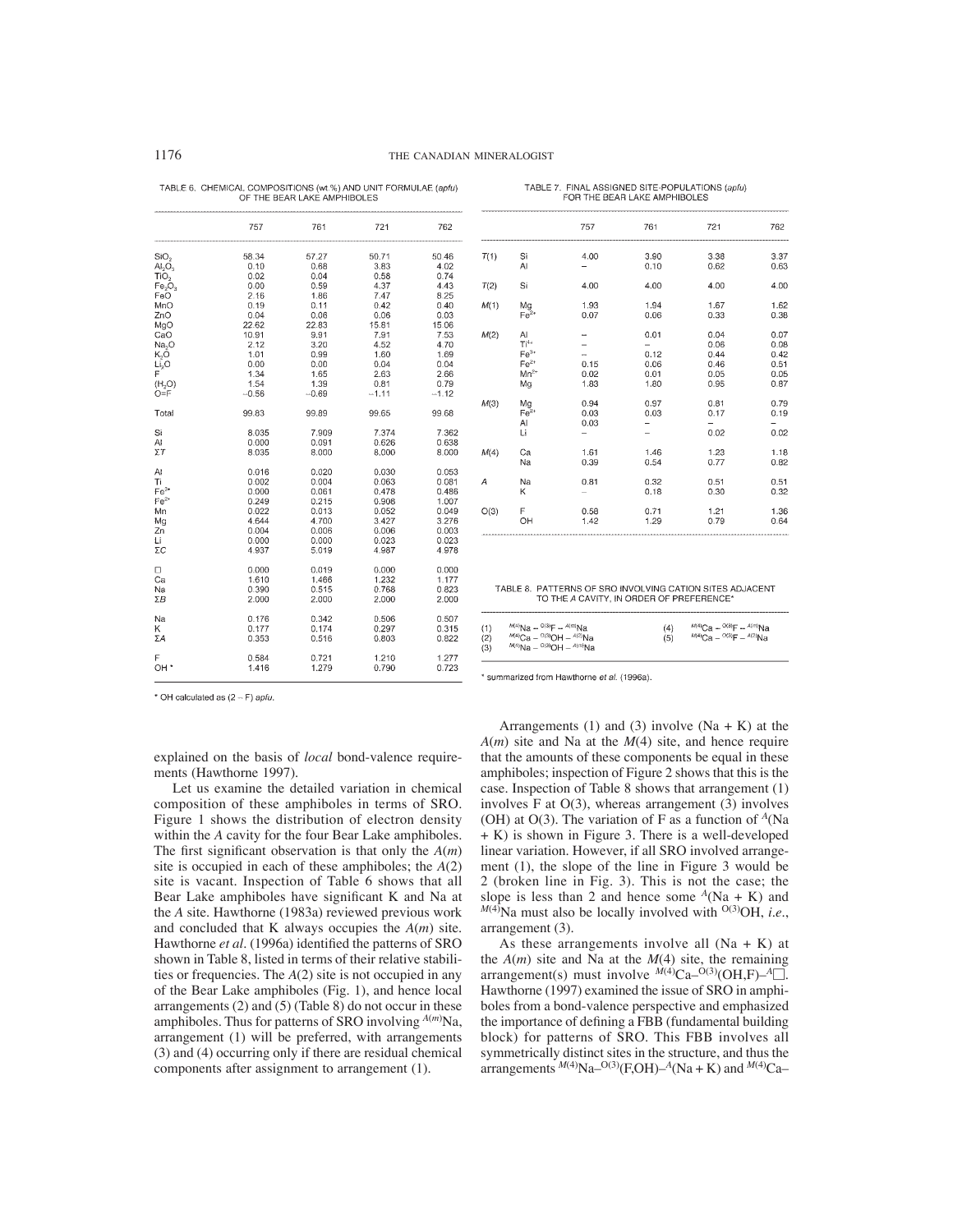| TABLE 6. CHEMICAL COMPOSITIONS (wt.%) AND UNIT FORMULAE (apfu) |  |
|----------------------------------------------------------------|--|
| OF THE BEAR LAKE AMPHIBOLES                                    |  |

|                                | 757     | 761     | 721     | 762     |
|--------------------------------|---------|---------|---------|---------|
| SiO <sub>2</sub>               | 58.34   | 57.27   | 50.71   | 50.46   |
| AI <sub>2</sub> O <sub>3</sub> | 0.10    | 0.68    | 3.83    | 4.02    |
| TiO <sub>2</sub>               | 0.02    | 0.04    | 0.58    | 0.74    |
| Fe <sub>2</sub> O <sub>3</sub> | 0.00    | 0.59    | 4.37    | 4.43    |
| FeO                            | 2.16    | 1.86    | 7.47    | 8.25    |
| MnO                            | 0.19    | 0.11    | 0.42    | 0.40    |
| ZnO                            | 0.04    | 0.06    | 0.06    | 0.03    |
| MgO                            | 22.62   | 22.83   | 15.81   | 15.06   |
| CaO                            | 10.91   | 9.91    | 7.91    | 7.53    |
| Na <sub>2</sub> O              | 2.12    | 3.20    | 4.52    | 4.70    |
| K,O                            | 1.01    | 0.99    | 1.60    | 1.69    |
| Li <sub>2</sub> O              | 0.00    | 0.00    | 0.04    | 0.04    |
| F                              | 1.34    | 1.65    | 2.63    | 2.66    |
| (H, O)                         | 1.54    | 1.39    | 0.81    | 0.79    |
| $O = F$                        | $-0.56$ | $-0.69$ | $-1.11$ | $-1.12$ |
| Total                          | 99.83   | 99.89   | 99.65   | 99.68   |
| Si                             | 8.035   | 7.909   | 7.374   | 7.362   |
| AI                             | 0.000   | 0.091   | 0.626   | 0.638   |
| $\Sigma T$                     | 8.035   | 8.000   | 8.000   | 8.000   |
| Al                             | 0.016   | 0.020   | 0.030   | 0.053   |
| Τi                             | 0.002   | 0.004   | 0.063   | 0.081   |
| $Fe3+$                         | 0.000   | 0.061   | 0.478   | 0.486   |
| $Fe2+$                         | 0.249   | 0.215   | 0.908   | 1.007   |
| Mn                             | 0.022   | 0.013   | 0.052   | 0.049   |
| Mg                             | 4.644   | 4.700   | 3.427   | 3.276   |
| Zn                             | 0.004   | 0.006   | 0.006   | 0.003   |
| Li                             | 0.000   | 0.000   | 0.023   | 0.023   |
| ΣC                             | 4.937   | 5.019   | 4.987   | 4.978   |
| □                              | 0.000   | 0.019   | 0.000   | 0.000   |
| Ca                             | 1.610   | 1.466   | 1.232   | 1.177   |
| Na                             | 0.390   | 0.515   | 0.768   | 0.823   |
| ΣΒ                             | 2.000   | 2.000   | 2.000   | 2.000   |
| Na                             | 0.176   | 0.342   | 0.506   | 0.507   |
| Κ                              | 0.177   | 0.174   | 0.297   | 0.315   |
| ΣA                             | 0.353   | 0.516   | 0.803   | 0.822   |
| F                              |         |         |         |         |
|                                | 0.584   | 0.721   | 1.210   | 1.277   |
| OH <sup>*</sup>                | 1.416   | 1.279   | 0.790   | 0.723   |

|      |                                                     | 757                  | 761                                  | 721                                          | 762                                          |
|------|-----------------------------------------------------|----------------------|--------------------------------------|----------------------------------------------|----------------------------------------------|
| T(1) | Si<br>AI                                            | 4.00                 | 3.90<br>0.10                         | 3.38<br>0.62                                 | 3.37<br>0.63                                 |
| T(2) | Si                                                  | 4.00                 | 4.00                                 | 4.00                                         | 4.00                                         |
| M(1) | Mg<br>$Fe2+$                                        | 1.93<br>0.07         | 1.94<br>0.06                         | 1.67<br>0.33                                 | 1.62<br>0.38                                 |
| M(2) | AI<br>$Ti4+$<br>$Fe3+$<br>$Fe2+$<br>$Mn^{2+}$<br>Mq | 0.15<br>0.02<br>1.83 | 0.01<br>0.12<br>0.06<br>0.01<br>1.80 | 0.04<br>0.06<br>0.44<br>0.46<br>0.05<br>0.95 | 0.07<br>0.08<br>0.42<br>0.51<br>0.05<br>0.87 |
| M(3) | Mg<br>$Fe2+$<br>AI<br>Li                            | 0.94<br>0.03<br>0.03 | 0.97<br>0.03                         | 0.81<br>0.17<br>0.02                         | 0.79<br>0.19<br>0.02                         |
| M(4) | Ca<br>Na                                            | 1.61<br>0.39         | 1.46<br>0.54                         | 1.23<br>0.77                                 | 1.18<br>0.82                                 |
| A    | Na<br>ĸ                                             | 0.81                 | 0.32<br>0.18                         | 0.51<br>0.30                                 | 0.51<br>0.32                                 |
| O(3) | F<br>OH                                             | 0.58<br>1.42         | 0.71<br>1.29                         | 1.21<br>0.79                                 | 1.36<br>0.64                                 |
|      |                                                     |                      |                                      |                                              |                                              |

TABLE 7 FINAL ASSIGNED SITE-POPULATIONS (aph) FOR THE BEAR LAKE AMPHIBOLES

TABLE 8. PATTERNS OF SRO INVOLVING CATION SITES ADJACENT<br>TO THE A CAVITY, IN ORDER OF PREFERENCE\*

| $^{M(4)}$ Na -- <sup>0(3)</sup> F -- $^{A(m)}$ Na<br>(1)<br>(4)<br>$^{M(4)}$ Ca - <sup>0(3)</sup> OH - <sup>A(2)</sup> Na<br>(2)<br>(5)<br>$^{M(4)}$ Na - <sup>0(3)</sup> OH - <sup><math>A(m)</math></sup> Na<br>(3) | $^{M(4)}$ Ca - $^{O(3)}$ F - $^{A(m)}$ Na<br>$^{M(4)}$ Ca - $^{O(3)}$ F - $^{A(2)}$ Na |
|-----------------------------------------------------------------------------------------------------------------------------------------------------------------------------------------------------------------------|----------------------------------------------------------------------------------------|
|                                                                                                                                                                                                                       |                                                                                        |

\* OH calculated as  $(2 - F)$  apfu.

explained on the basis of *local* bond-valence requirements (Hawthorne 1997).

Let us examine the detailed variation in chemical composition of these amphiboles in terms of SRO. Figure 1 shows the distribution of electron density within the *A* cavity for the four Bear Lake amphiboles. The first significant observation is that only the  $A(m)$ site is occupied in each of these amphiboles; the *A*(2) site is vacant. Inspection of Table 6 shows that all Bear Lake amphiboles have significant K and Na at the *A* site. Hawthorne (1983a) reviewed previous work and concluded that K always occupies the *A*(*m*) site. Hawthorne *et al.* (1996a) identified the patterns of SRO shown in Table 8, listed in terms of their relative stabilities or frequencies. The *A*(2) site is not occupied in any of the Bear Lake amphiboles (Fig. 1), and hence local arrangements (2) and (5) (Table 8) do not occur in these amphiboles. Thus for patterns of SRO involving *A*(*m*) Na, arrangement (1) will be preferred, with arrangements (3) and (4) occurring only if there are residual chemical components after assignment to arrangement (1).

\* summarized from Hawthorne et al. (1996a).

Arrangements (1) and (3) involve  $(Na + K)$  at the *A*(*m*) site and Na at the *M*(4) site, and hence require that the amounts of these components be equal in these amphiboles; inspection of Figure 2 shows that this is the case. Inspection of Table 8 shows that arrangement (1) involves  $F$  at  $O(3)$ , whereas arrangement  $(3)$  involves (OH) at  $O(3)$ . The variation of F as a function of <sup>A</sup>(Na) + K) is shown in Figure 3. There is a well-developed linear variation. However, if all SRO involved arrangement (1), the slope of the line in Figure 3 would be 2 (broken line in Fig. 3). This is not the case; the slope is less than 2 and hence some <sup>*A*</sup>(Na + K) and *M*<sup>(4)</sup>Na must also be locally involved with <sup>O(3)</sup>OH, *i.e.*, arrangement (3).

As these arrangements involve all  $(Na + K)$  at the  $A(m)$  site and Na at the  $M(4)$  site, the remaining arrangement(s) must involve  $\hat{M}(4)$ Ca– $\hat{O}(3)(OH,F)$ –<sup>A</sup> $\Box$ . Hawthorne (1997) examined the issue of SRO in amphiboles from a bond-valence perspective and emphasized the importance of defining a FBB (fundamental building block) for patterns of SRO. This FBB involves all symmetrically distinct sites in the structure, and thus the arrangements *<sup>M</sup>*(4)Na–O(3)(F,OH)–*<sup>A</sup>*(Na + K) and *<sup>M</sup>*(4)Ca–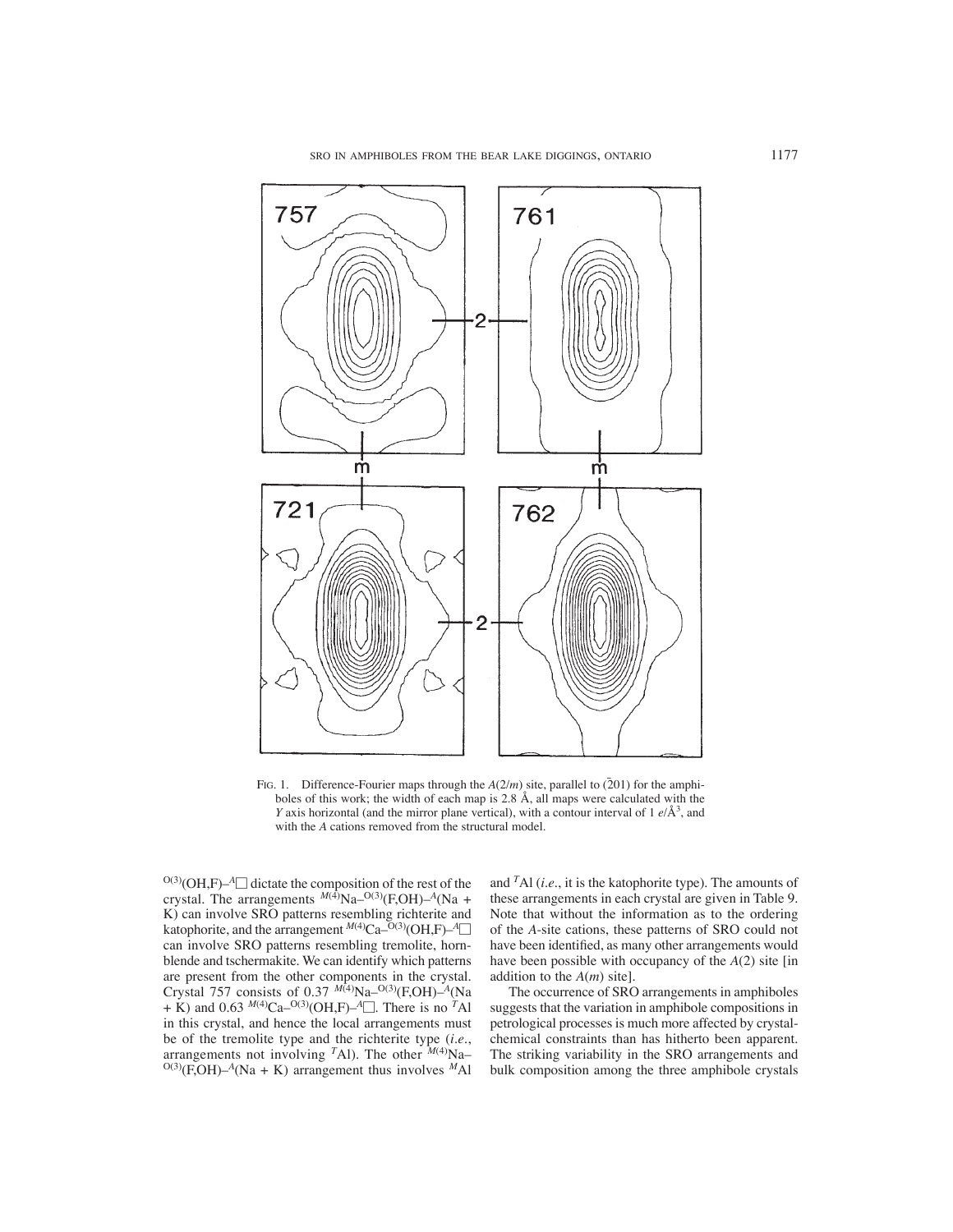SRO IN AMPHIBOLES FROM THE BEAR LAKE DIGGINGS, ONTARIO 1177



FIG. 1. Difference-Fourier maps through the  $A(2/m)$  site, parallel to  $(201)$  for the amphiboles of this work; the width of each map is 2.8 Å, all maps were calculated with the *Y* axis horizontal (and the mirror plane vertical), with a contour interval of 1 *e*/Å<sup>3</sup>, and with the *A* cations removed from the structural model.

 $O(3)(OH,F)$ –<sup>A</sup> $\Box$  dictate the composition of the rest of the crystal. The arrangements  $^{M(4)}$ Na–<sup>O(3)</sup>(F,OH)–<sup>A</sup>(Na + K) can involve SRO patterns resembling richterite and katophorite, and the arrangement *<sup>M</sup>*(4)Ca–O(3)(OH,F)–*<sup>A</sup>* can involve SRO patterns resembling tremolite, hornblende and tschermakite. We can identify which patterns are present from the other components in the crystal. Crystal 757 consists of 0.37  $M(4)Na-<sup>O(3)</sup>(F,OH)-<sup>A</sup>(Na)$ + K) and 0.63  $^{M(4)}$ Ca<sup>-O(3)</sup>(OH,F)<sup>-A</sup>. There is no <sup>*T*</sup>Al in this crystal, and hence the local arrangements must be of the tremolite type and the richterite type (*i.e.*, arrangements not involving <sup>T</sup>Al). The other <sup>M(4)</sup>Na–  $O(3)(F, OH) - A(Na + K)$  arrangement thus involves <sup>M</sup>Al

and *T*Al (*i.e.*, it is the katophorite type). The amounts of these arrangements in each crystal are given in Table 9. Note that without the information as to the ordering of the *A*-site cations, these patterns of SRO could not have been identified, as many other arrangements would have been possible with occupancy of the *A*(2) site [in addition to the *A*(*m*) site].

The occurrence of SRO arrangements in amphiboles suggests that the variation in amphibole compositions in petrological processes is much more affected by crystalchemical constraints than has hitherto been apparent. The striking variability in the SRO arrangements and bulk composition among the three amphibole crystals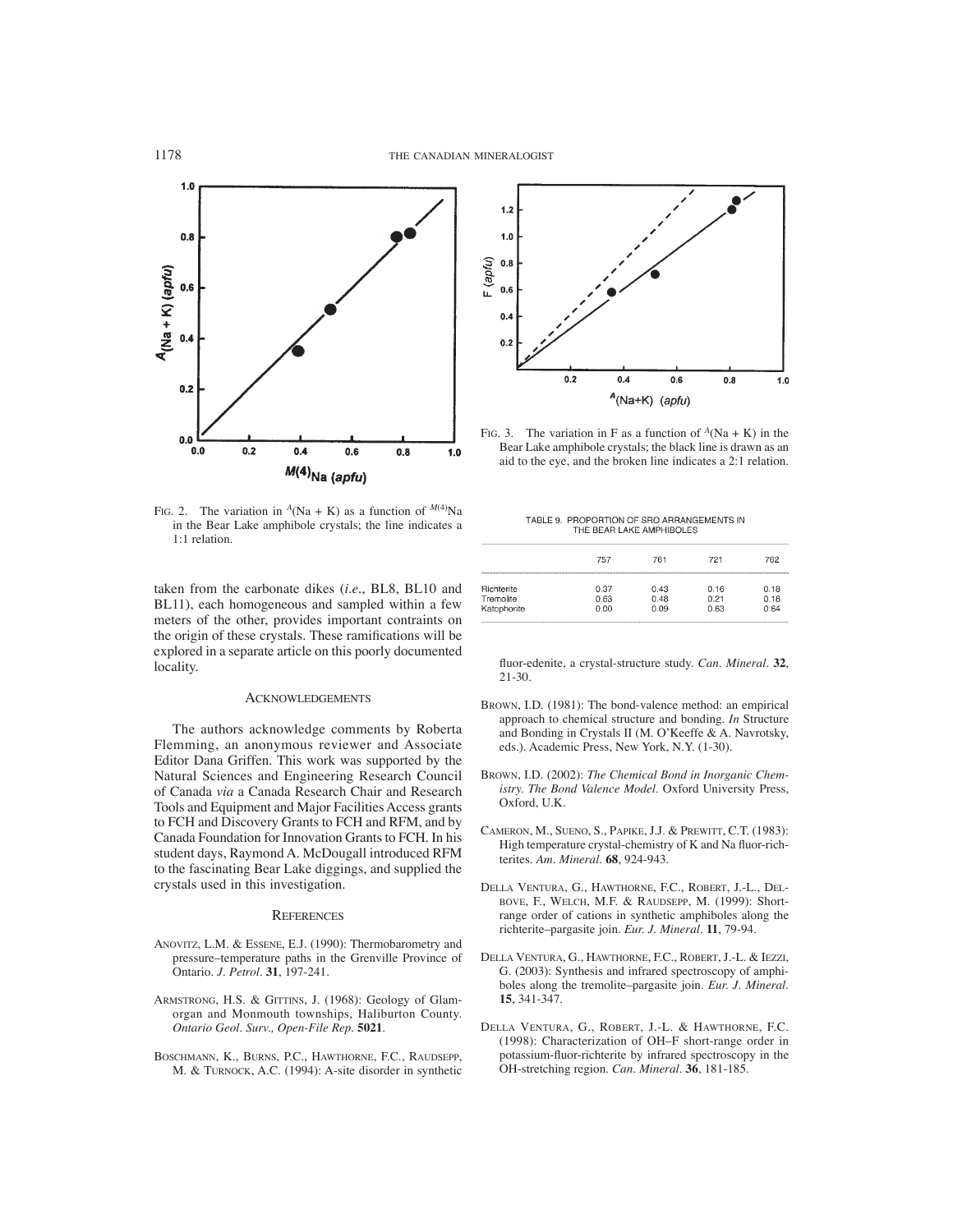

FIG. 2. The variation in  $^A$ (Na + K) as a function of  $^{M(4)}$ Na in the Bear Lake amphibole crystals; the line indicates a 1:1 relation.

taken from the carbonate dikes (*i.e.*, BL8, BL10 and BL11), each homogeneous and sampled within a few meters of the other, provides important contraints on the origin of these crystals. These ramifications will be explored in a separate article on this poorly documented locality.

## ACKNOWLEDGEMENTS

The authors acknowledge comments by Roberta Flemming, an anonymous reviewer and Associate Editor Dana Griffen. This work was supported by the Natural Sciences and Engineering Research Council of Canada *via* a Canada Research Chair and Research Tools and Equipment and Major Facilities Access grants to FCH and Discovery Grants to FCH and RFM, and by Canada Foundation for Innovation Grants to FCH. In his student days, Raymond A. McDougall introduced RFM to the fascinating Bear Lake diggings, and supplied the crystals used in this investigation.

## **REFERENCES**

- ANOVITZ, L.M. & ESSENE, E.J. (1990): Thermobarometry and pressure–temperature paths in the Grenville Province of Ontario. *J. Petrol.* **31**, 197-241.
- ARMSTRONG, H.S. & GITTINS, J. (1968): Geology of Glamorgan and Monmouth townships, Haliburton County. *Ontario Geol. Surv., Open-File Rep.* **5021**.
- BOSCHMANN, K., BURNS, P.C., HAWTHORNE, F.C., RAUDSEPP, M. & TURNOCK, A.C. (1994): A-site disorder in synthetic



FIG. 3. The variation in F as a function of  $^A$ (Na + K) in the Bear Lake amphibole crystals; the black line is drawn as an aid to the eye, and the broken line indicates a 2:1 relation.

| TABLE 9. PROPORTION OF SRO ARRANGEMENTS IN |
|--------------------------------------------|
| THE BEAR LAKE AMPHIBOLES                   |

|             | 757  | 761  | 721  | 762  |
|-------------|------|------|------|------|
| Richterite  | 0.37 | 0.43 | 0.16 | 0.18 |
| Tremolite   | 0.63 | 0.48 | 0.21 | 0.18 |
| Katophorite | 0.00 | 0.09 | 0.63 | 0.64 |

fluor-edenite, a crystal-structure study. *Can. Mineral.* 32, 21-30.

- BROWN, I.D. (1981): The bond-valence method: an empirical approach to chemical structure and bonding. *In* Structure and Bonding in Crystals II (M. O'Keeffe & A. Navrotsky, eds.). Academic Press, New York, N.Y. (1-30).
- BROWN, I.D. (2002): *The Chemical Bond in Inorganic Chemistry. The Bond Valence Model.* Oxford University Press, Oxford, U.K.
- CAMERON, M., SUENO, S., PAPIKE, J.J. & PREWITT, C.T. (1983): High temperature crystal-chemistry of K and Na fluor-richterites. *Am. Mineral.* **68**, 924-943.
- DELLA VENTURA, G., HAWTHORNE, F.C., ROBERT, J.-L., DEL-BOVE, F., WELCH, M.F. & RAUDSEPP, M. (1999): Shortrange order of cations in synthetic amphiboles along the richterite–pargasite join. *Eur. J. Mineral.* **11**, 79-94.
- DELLA VENTURA, G., HAWTHORNE, F.C., ROBERT, J.-L. & IEZZI, G. (2003): Synthesis and infrared spectroscopy of amphiboles along the tremolite–pargasite join. *Eur. J. Mineral.* **15**, 341-347.
- DELLA VENTURA, G., ROBERT, J.-L. & HAWTHORNE, F.C. (1998): Characterization of OH–F short-range order in potassium-fluor-richterite by infrared spectroscopy in the OH-stretching region. *Can. Mineral.* **36**, 181-185.